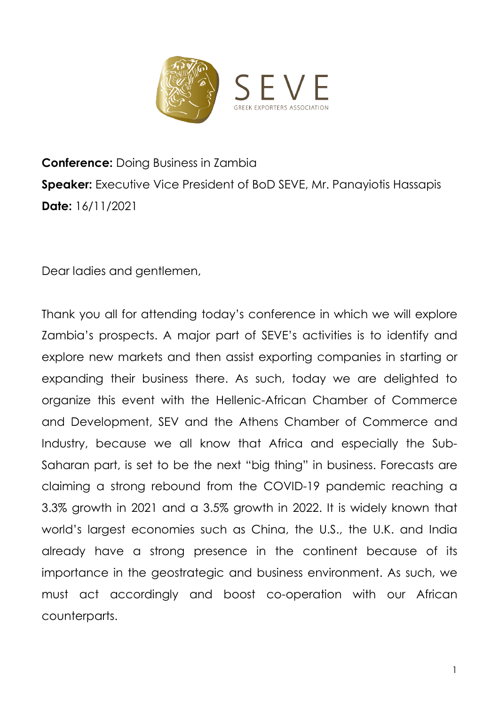

## **Conference:** Doing Business in Zambia **Speaker:** Executive Vice President of BoD SEVE, Mr. Panayiotis Hassapis Date: 16/11/2021

Dear ladies and gentlemen,

Thank you all for attending today's conference in which we will explore Zambia's prospects. A major part of SEVE's activities is to identify and explore new markets and then assist exporting companies in starting or expanding their business there. As such, today we are delighted to organize this event with the Hellenic-African Chamber of Commerce and Development, SEV and the Athens Chamber of Commerce and Industry, because we all know that Africa and especially the Sub-Saharan part, is set to be the next "big thing" in business. Forecasts are claiming a strong rebound from the COVID-19 pandemic reaching a 3.3% growth in 2021 and a 3.5% growth in 2022. It is widely known that world's largest economies such as China, the U.S., the U.K. and India already have a strong presence in the continent because of its importance in the geostrategic and business environment. As such, we must act accordingly and boost co-operation with our African counterparts.